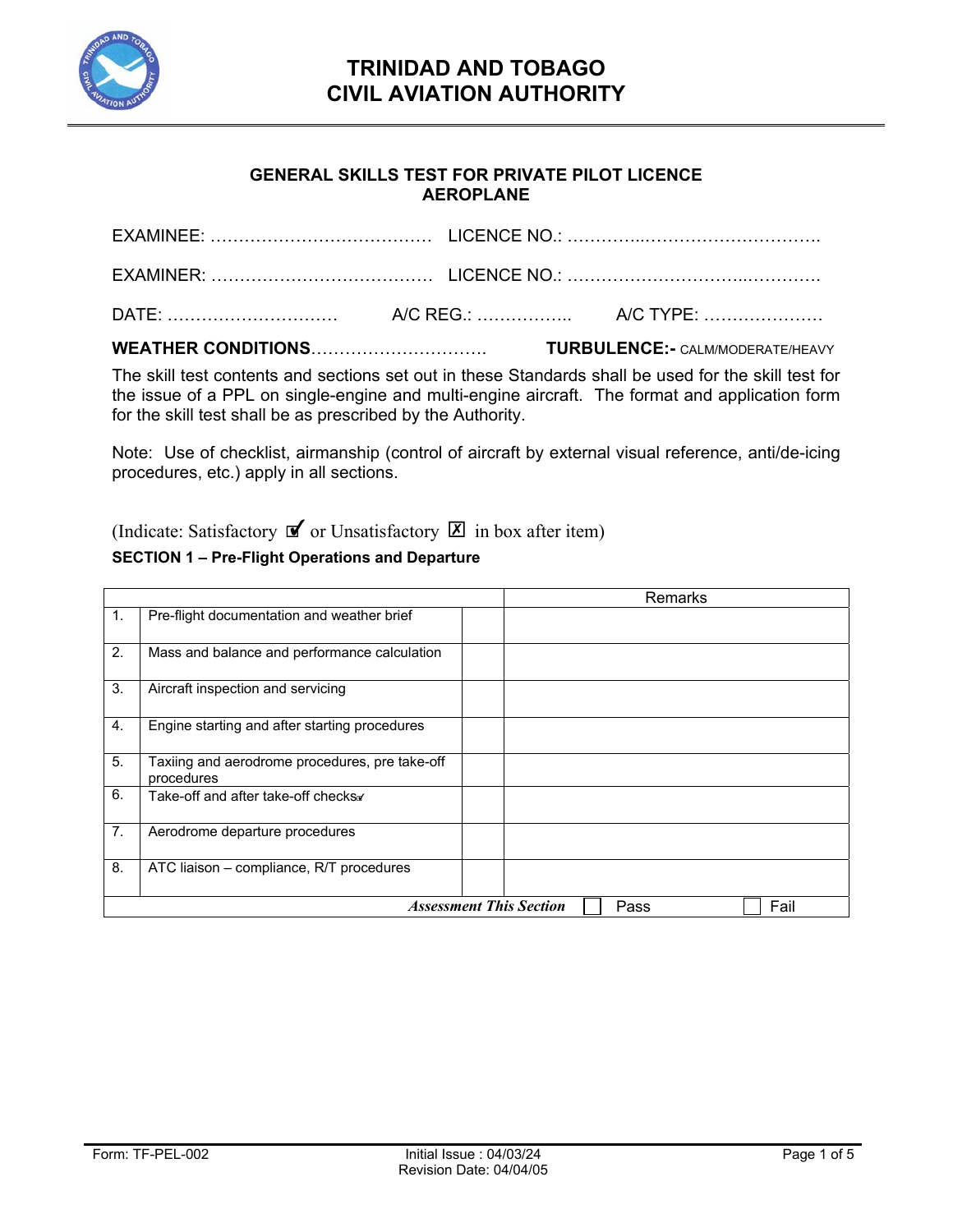

#### **GENERAL SKILLS TEST FOR PRIVATE PILOT LICENCE AEROPLANE**

**WEATHER CONDITIONS**…………………………. **TURBULENCE:-** CALM/MODERATE/HEAVY

The skill test contents and sections set out in these Standards shall be used for the skill test for the issue of a PPL on single-engine and multi-engine aircraft. The format and application form for the skill test shall be as prescribed by the Authority.

Note: Use of checklist, airmanship (control of aircraft by external visual reference, anti/de-icing procedures, etc.) apply in all sections.

### (Indicate: Satisfactory  $\mathbf{\nabla}$  or Unsatisfactory  $\mathbf{\nabla}$  in box after item)

#### **SECTION 1 – Pre-Flight Operations and Departure**

|    |                                                              |                                | Remarks |      |  |
|----|--------------------------------------------------------------|--------------------------------|---------|------|--|
| 1. | Pre-flight documentation and weather brief                   |                                |         |      |  |
| 2. | Mass and balance and performance calculation                 |                                |         |      |  |
| 3. | Aircraft inspection and servicing                            |                                |         |      |  |
| 4. | Engine starting and after starting procedures                |                                |         |      |  |
| 5. | Taxiing and aerodrome procedures, pre take-off<br>procedures |                                |         |      |  |
| 6. | Take-off and after take-off checks                           |                                |         |      |  |
| 7. | Aerodrome departure procedures                               |                                |         |      |  |
| 8. | ATC liaison - compliance, R/T procedures                     |                                |         |      |  |
|    |                                                              | <b>Assessment This Section</b> | Pass    | Fail |  |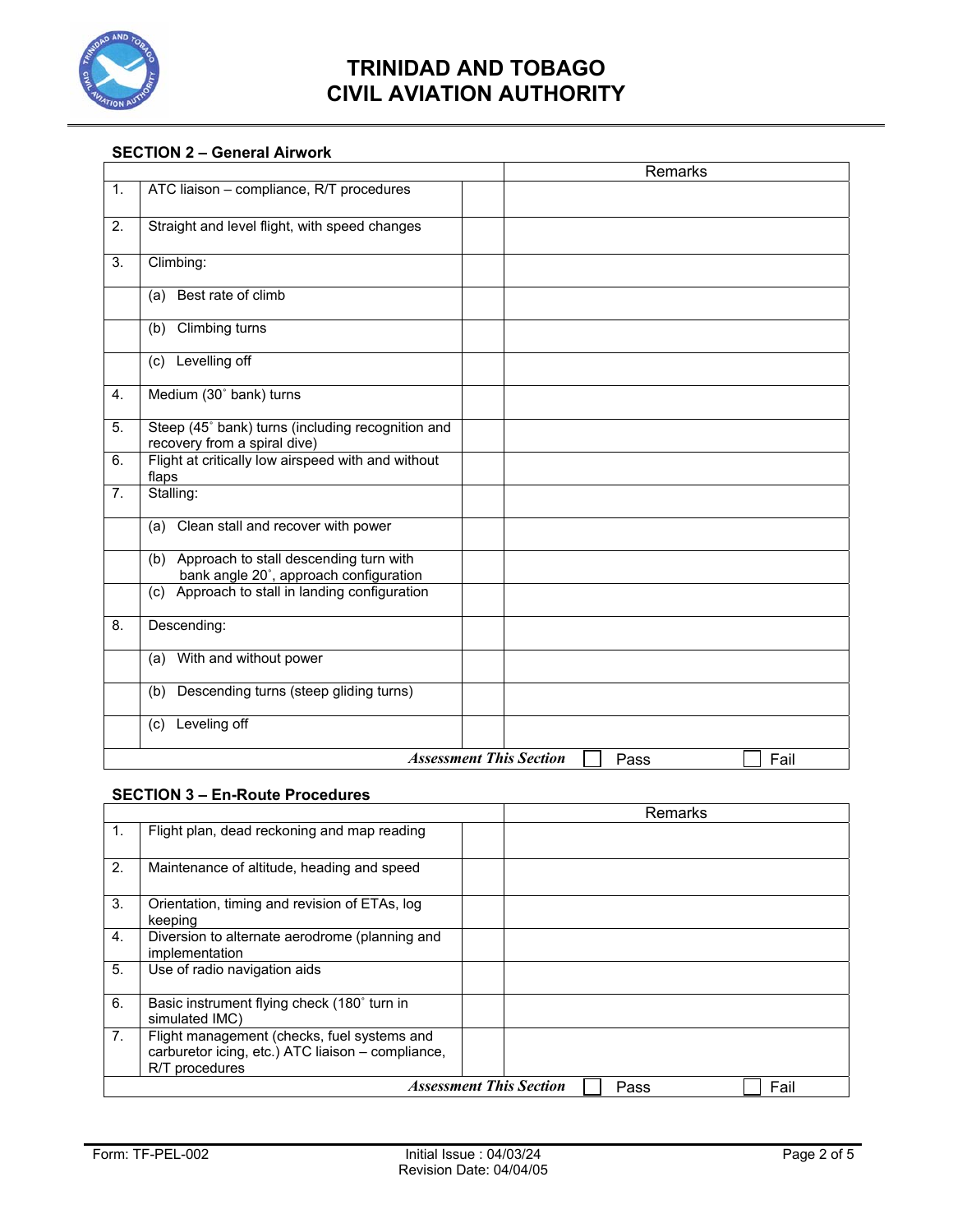

#### **SECTION 2 – General Airwork**

|    |                                                                                      |                                |      | Remarks |      |
|----|--------------------------------------------------------------------------------------|--------------------------------|------|---------|------|
| 1. | ATC liaison - compliance, R/T procedures                                             |                                |      |         |      |
| 2. | Straight and level flight, with speed changes                                        |                                |      |         |      |
| 3. | Climbing:                                                                            |                                |      |         |      |
|    | (a) Best rate of climb                                                               |                                |      |         |      |
|    | (b) Climbing turns                                                                   |                                |      |         |      |
|    | (c) Levelling off                                                                    |                                |      |         |      |
| 4. | Medium (30° bank) turns                                                              |                                |      |         |      |
| 5. | Steep (45° bank) turns (including recognition and<br>recovery from a spiral dive)    |                                |      |         |      |
| 6. | Flight at critically low airspeed with and without<br>flaps                          |                                |      |         |      |
| 7. | Stalling:                                                                            |                                |      |         |      |
|    | (a) Clean stall and recover with power                                               |                                |      |         |      |
|    | (b) Approach to stall descending turn with<br>bank angle 20°, approach configuration |                                |      |         |      |
|    | (c) Approach to stall in landing configuration                                       |                                |      |         |      |
| 8. | Descending:                                                                          |                                |      |         |      |
|    | (a) With and without power                                                           |                                |      |         |      |
|    | Descending turns (steep gliding turns)<br>(b)                                        |                                |      |         |      |
|    | (c) Leveling off                                                                     |                                |      |         |      |
|    |                                                                                      | <b>Assessment This Section</b> | Pass |         | Fail |

# **SECTION 3 – En-Route Procedures**

|    |                                                                                                                    | Remarks |  |  |  |  |
|----|--------------------------------------------------------------------------------------------------------------------|---------|--|--|--|--|
| 1. | Flight plan, dead reckoning and map reading                                                                        |         |  |  |  |  |
| 2. | Maintenance of altitude, heading and speed                                                                         |         |  |  |  |  |
| 3. | Orientation, timing and revision of ETAs, log<br>keeping                                                           |         |  |  |  |  |
| 4. | Diversion to alternate aerodrome (planning and<br>implementation                                                   |         |  |  |  |  |
| 5. | Use of radio navigation aids                                                                                       |         |  |  |  |  |
| 6. | Basic instrument flying check (180° turn in<br>simulated IMC)                                                      |         |  |  |  |  |
| 7. | Flight management (checks, fuel systems and<br>carburetor icing, etc.) ATC liaison - compliance,<br>R/T procedures |         |  |  |  |  |
|    | <b>Assessment This Section</b><br>Fail<br>Pass                                                                     |         |  |  |  |  |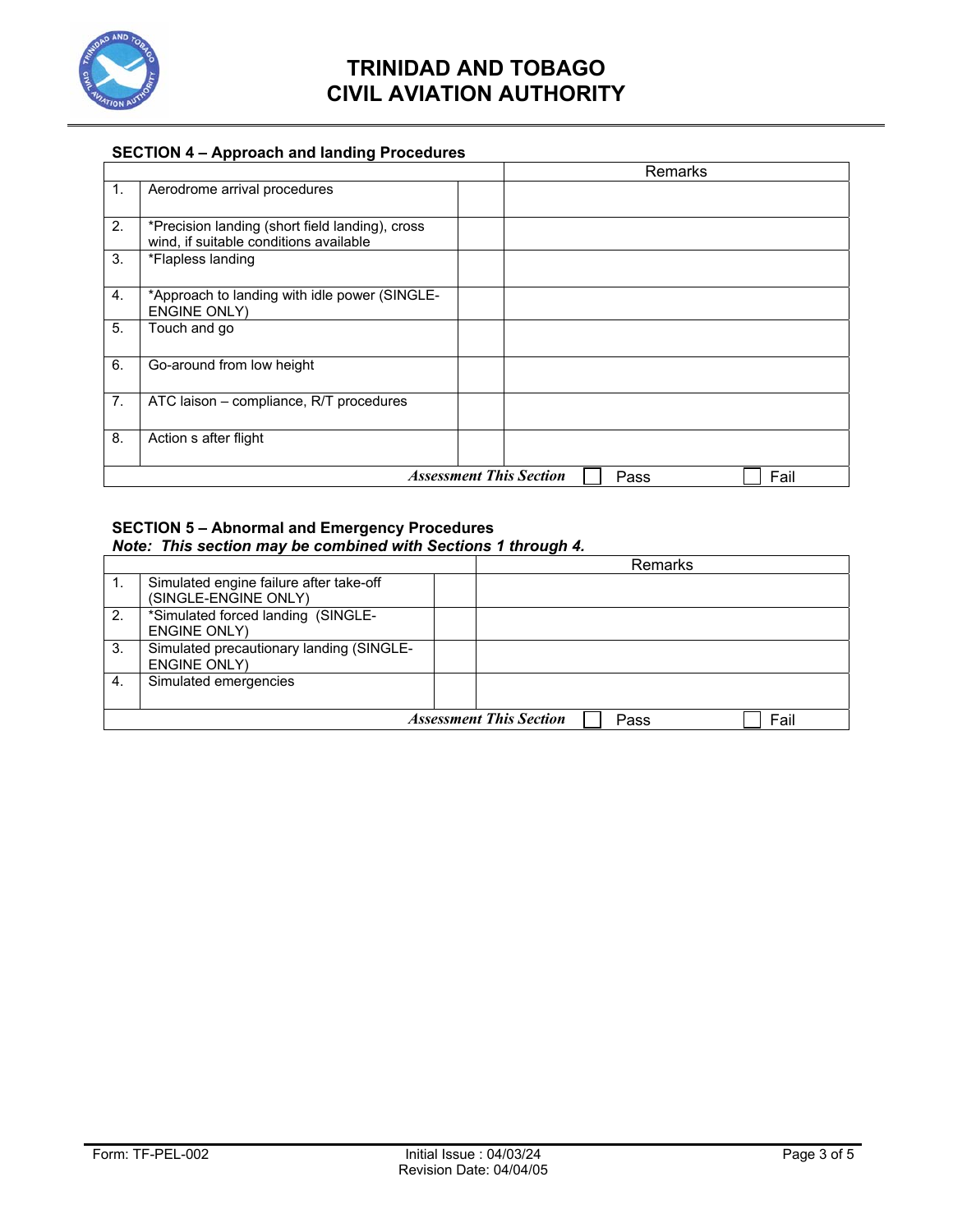

#### **SECTION 4 – Approach and landing Procedures**

|    |                                                                                           |                                | Remarks |      |
|----|-------------------------------------------------------------------------------------------|--------------------------------|---------|------|
| 1. | Aerodrome arrival procedures                                                              |                                |         |      |
| 2. | *Precision landing (short field landing), cross<br>wind, if suitable conditions available |                                |         |      |
| 3. | *Flapless landing                                                                         |                                |         |      |
| 4. | *Approach to landing with idle power (SINGLE-<br><b>ENGINE ONLY)</b>                      |                                |         |      |
| 5. | Touch and go                                                                              |                                |         |      |
| 6. | Go-around from low height                                                                 |                                |         |      |
| 7. | ATC laison - compliance, R/T procedures                                                   |                                |         |      |
| 8. | Action s after flight                                                                     |                                |         |      |
|    |                                                                                           | <b>Assessment This Section</b> | Pass    | Fail |

#### **SECTION 5 – Abnormal and Emergency Procedures**  *Note: This section may be combined with Sections 1 through 4.*

|    |                                                                 |                                | Remarks |      |
|----|-----------------------------------------------------------------|--------------------------------|---------|------|
|    | Simulated engine failure after take-off<br>(SINGLE-ENGINE ONLY) |                                |         |      |
| 2. | *Simulated forced landing (SINGLE-<br><b>ENGINE ONLY)</b>       |                                |         |      |
| 3. | Simulated precautionary landing (SINGLE-<br><b>ENGINE ONLY)</b> |                                |         |      |
| 4. | Simulated emergencies                                           |                                |         |      |
|    |                                                                 | <b>Assessment This Section</b> | Pass    | Fail |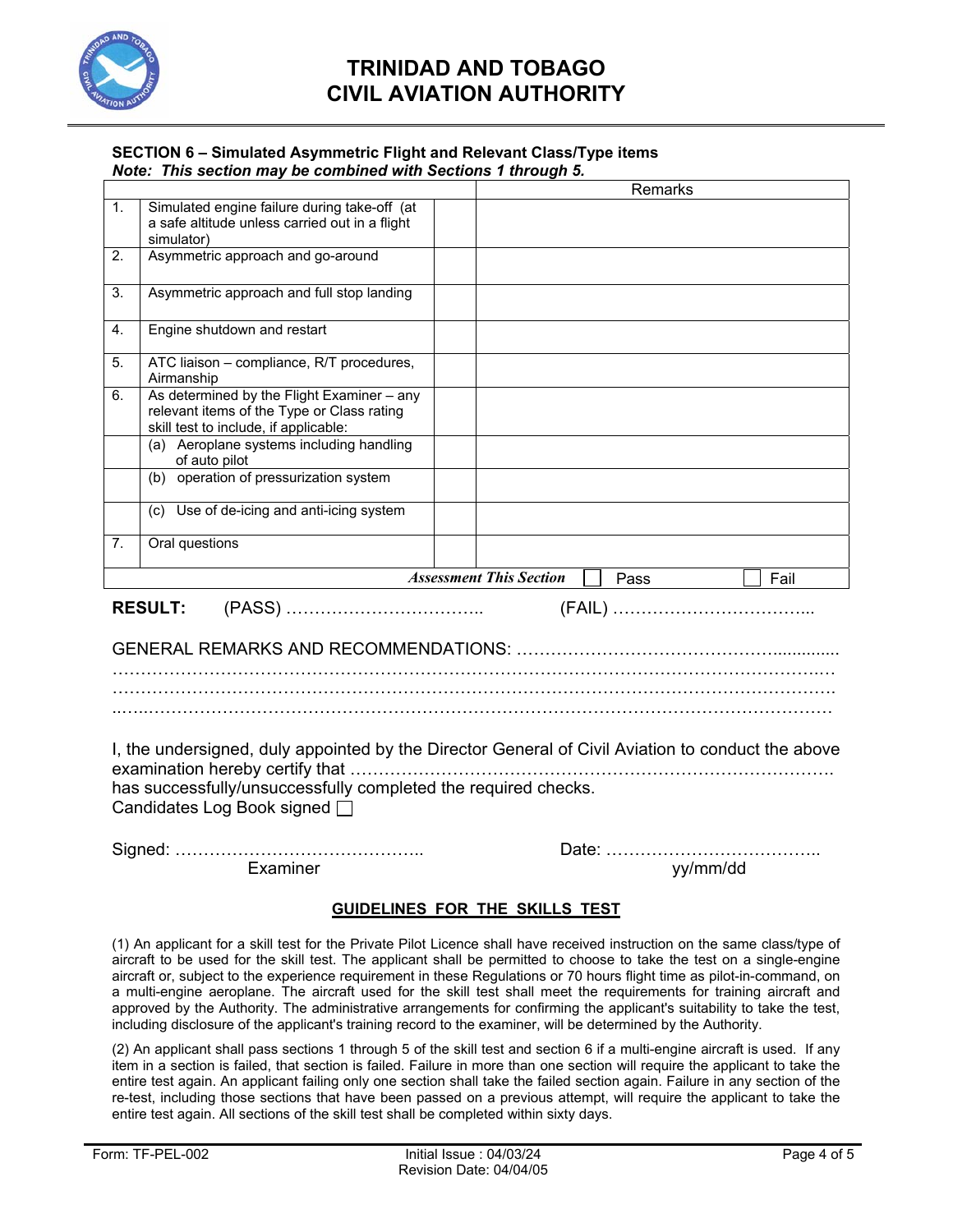

#### **SECTION 6 – Simulated Asymmetric Flight and Relevant Class/Type items**  *Note: This section may be combined with Sections 1 through 5.*

|                                                                                                   |                                                                                                                                   |  | Remarks                                        |  |  |  |
|---------------------------------------------------------------------------------------------------|-----------------------------------------------------------------------------------------------------------------------------------|--|------------------------------------------------|--|--|--|
| $\mathbf{1}$ .                                                                                    | Simulated engine failure during take-off (at<br>a safe altitude unless carried out in a flight<br>simulator)                      |  |                                                |  |  |  |
| 2.                                                                                                | Asymmetric approach and go-around                                                                                                 |  |                                                |  |  |  |
| 3.                                                                                                | Asymmetric approach and full stop landing                                                                                         |  |                                                |  |  |  |
| 4.                                                                                                | Engine shutdown and restart                                                                                                       |  |                                                |  |  |  |
| 5.                                                                                                | ATC liaison - compliance, R/T procedures,<br>Airmanship                                                                           |  |                                                |  |  |  |
| 6.                                                                                                | As determined by the Flight Examiner - any<br>relevant items of the Type or Class rating<br>skill test to include, if applicable: |  |                                                |  |  |  |
|                                                                                                   | (a) Aeroplane systems including handling<br>of auto pilot                                                                         |  |                                                |  |  |  |
|                                                                                                   | (b) operation of pressurization system                                                                                            |  |                                                |  |  |  |
|                                                                                                   | (c) Use of de-icing and anti-icing system                                                                                         |  |                                                |  |  |  |
| 7.                                                                                                | Oral questions                                                                                                                    |  |                                                |  |  |  |
|                                                                                                   |                                                                                                                                   |  | <b>Assessment This Section</b><br>Fail<br>Pass |  |  |  |
|                                                                                                   |                                                                                                                                   |  |                                                |  |  |  |
|                                                                                                   |                                                                                                                                   |  |                                                |  |  |  |
|                                                                                                   |                                                                                                                                   |  |                                                |  |  |  |
| I, the undersigned, duly appointed by the Director General of Civil Aviation to conduct the above |                                                                                                                                   |  |                                                |  |  |  |
| has successfully/unsuccessfully completed the required checks.<br>Candidates Log Book signed □    |                                                                                                                                   |  |                                                |  |  |  |
|                                                                                                   | Examiner                                                                                                                          |  | yy/mm/dd                                       |  |  |  |
|                                                                                                   | <b>GUIDELINES FOR THE SKILLS TEST</b>                                                                                             |  |                                                |  |  |  |

(1) An applicant for a skill test for the Private Pilot Licence shall have received instruction on the same class/type of aircraft to be used for the skill test. The applicant shall be permitted to choose to take the test on a single-engine aircraft or, subject to the experience requirement in these Regulations or 70 hours flight time as pilot-in-command, on a multi-engine aeroplane. The aircraft used for the skill test shall meet the requirements for training aircraft and approved by the Authority. The administrative arrangements for confirming the applicant's suitability to take the test, including disclosure of the applicant's training record to the examiner, will be determined by the Authority.

(2) An applicant shall pass sections 1 through 5 of the skill test and section 6 if a multi-engine aircraft is used. If any item in a section is failed, that section is failed. Failure in more than one section will require the applicant to take the entire test again. An applicant failing only one section shall take the failed section again. Failure in any section of the re-test, including those sections that have been passed on a previous attempt, will require the applicant to take the entire test again. All sections of the skill test shall be completed within sixty days.